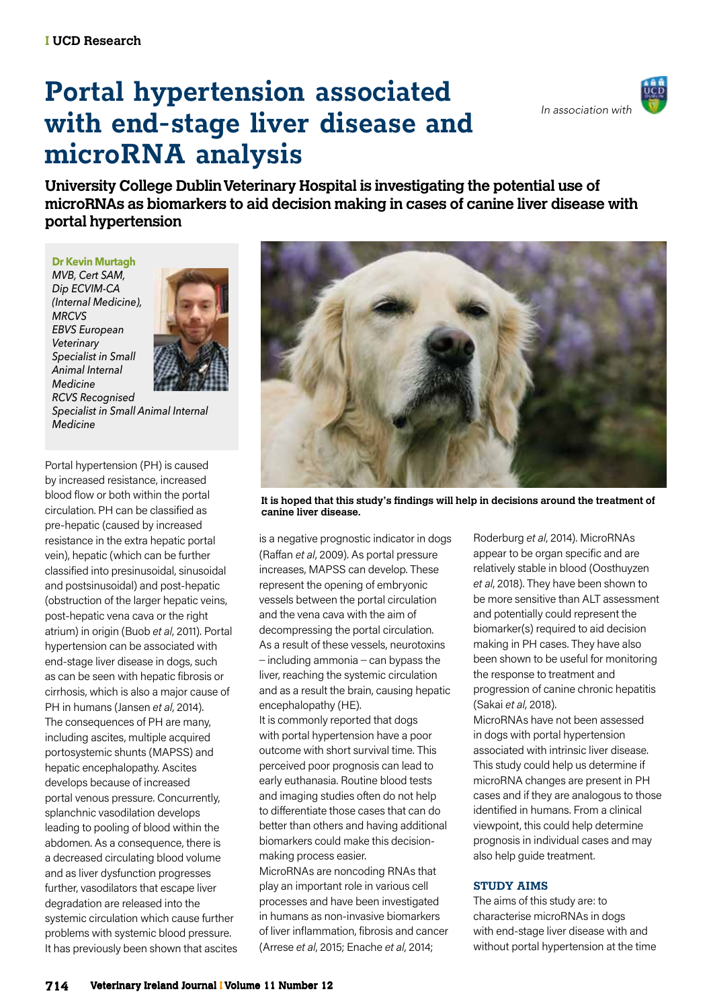# **Portal hypertension associated with end-stage liver disease and microRNA analysis**



**University College Dublin Veterinary Hospital is investigating the potential use of microRNAs as biomarkers to aid decision making in cases of canine liver disease with portal hypertension**

#### **Dr Kevin Murtagh**

*MVB, Cert SAM, Dip ECVIM-CA (Internal Medicine), MRCVS EBVS European Veterinary Specialist in Small Animal Internal Medicine RCVS Recognised* 



*Specialist in Small Animal Internal Medicine*

Portal hypertension (PH) is caused by increased resistance, increased blood flow or both within the portal circulation. PH can be classified as pre-hepatic (caused by increased resistance in the extra hepatic portal vein), hepatic (which can be further classified into presinusoidal, sinusoidal and postsinusoidal) and post-hepatic (obstruction of the larger hepatic veins, post-hepatic vena cava or the right atrium) in origin (Buob *et al*, 2011). Portal hypertension can be associated with end-stage liver disease in dogs, such as can be seen with hepatic fibrosis or cirrhosis, which is also a major cause of PH in humans (Jansen *et al*, 2014). The consequences of PH are many, including ascites, multiple acquired portosystemic shunts (MAPSS) and hepatic encephalopathy. Ascites develops because of increased portal venous pressure. Concurrently, splanchnic vasodilation develops leading to pooling of blood within the abdomen. As a consequence, there is a decreased circulating blood volume and as liver dysfunction progresses further, vasodilators that escape liver degradation are released into the systemic circulation which cause further problems with systemic blood pressure. It has previously been shown that ascites



**It is hoped that this study's findings will help in decisions around the treatment of canine liver disease.**

is a negative prognostic indicator in dogs (Raffan *et al*, 2009). As portal pressure increases, MAPSS can develop. These represent the opening of embryonic vessels between the portal circulation and the vena cava with the aim of decompressing the portal circulation. As a result of these vessels, neurotoxins  $-$  including ammonia  $-$  can bypass the liver, reaching the systemic circulation and as a result the brain, causing hepatic encephalopathy (HE).

It is commonly reported that dogs with portal hypertension have a poor outcome with short survival time. This perceived poor prognosis can lead to early euthanasia. Routine blood tests and imaging studies often do not help to differentiate those cases that can do better than others and having additional biomarkers could make this decisionmaking process easier.

MicroRNAs are noncoding RNAs that play an important role in various cell processes and have been investigated in humans as non-invasive biomarkers of liver inflammation, fibrosis and cancer (Arrese *et al*, 2015; Enache *et al*, 2014;

Roderburg *et al*, 2014). MicroRNAs appear to be organ specific and are relatively stable in blood (Oosthuyzen *et al*, 2018). They have been shown to be more sensitive than ALT assessment and potentially could represent the biomarker(s) required to aid decision making in PH cases. They have also been shown to be useful for monitoring the response to treatment and progression of canine chronic hepatitis (Sakai *et al*, 2018).

MicroRNAs have not been assessed in dogs with portal hypertension associated with intrinsic liver disease. This study could help us determine if microRNA changes are present in PH cases and if they are analogous to those identified in humans. From a clinical viewpoint, this could help determine prognosis in individual cases and may also help guide treatment.

#### **STUDY AIMS**

The aims of this study are: to characterise microRNAs in dogs with end-stage liver disease with and without portal hypertension at the time